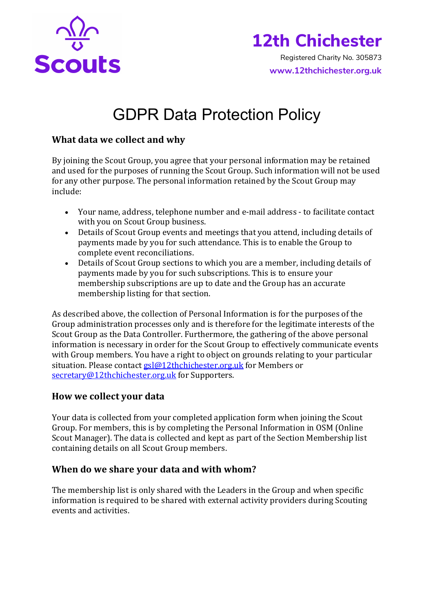

# **12th Chichester**

 Registered Charity No. 305873 **www.12thchichester.org.uk**

# GDPR Data Protection Policy

## **What data we collect and why**

By joining the Scout Group, you agree that your personal information may be retained and used for the purposes of running the Scout Group. Such information will not be used for any other purpose. The personal information retained by the Scout Group may include:

- Your name, address, telephone number and e-mail address to facilitate contact with you on Scout Group business.
- Details of Scout Group events and meetings that you attend, including details of payments made by you for such attendance. This is to enable the Group to complete event reconciliations.
- Details of Scout Group sections to which you are a member, including details of payments made by you for such subscriptions. This is to ensure your membership subscriptions are up to date and the Group has an accurate membership listing for that section.

As described above, the collection of Personal Information is for the purposes of the Group administration processes only and is therefore for the legitimate interests of the Scout Group as the Data Controller. Furthermore, the gathering of the above personal information is necessary in order for the Scout Group to effectively communicate events with Group members. You have a right to object on grounds relating to your particular situation. Please contact  $gs@12$ thchichester.org.uk for Members or secretary@12thchichester.org.uk for Supporters.

# **How we collect your data**

Your data is collected from your completed application form when joining the Scout Group. For members, this is by completing the Personal Information in OSM (Online Scout Manager). The data is collected and kept as part of the Section Membership list containing details on all Scout Group members.

### **When do we share your data and with whom?**

The membership list is only shared with the Leaders in the Group and when specific information is required to be shared with external activity providers during Scouting events and activities.